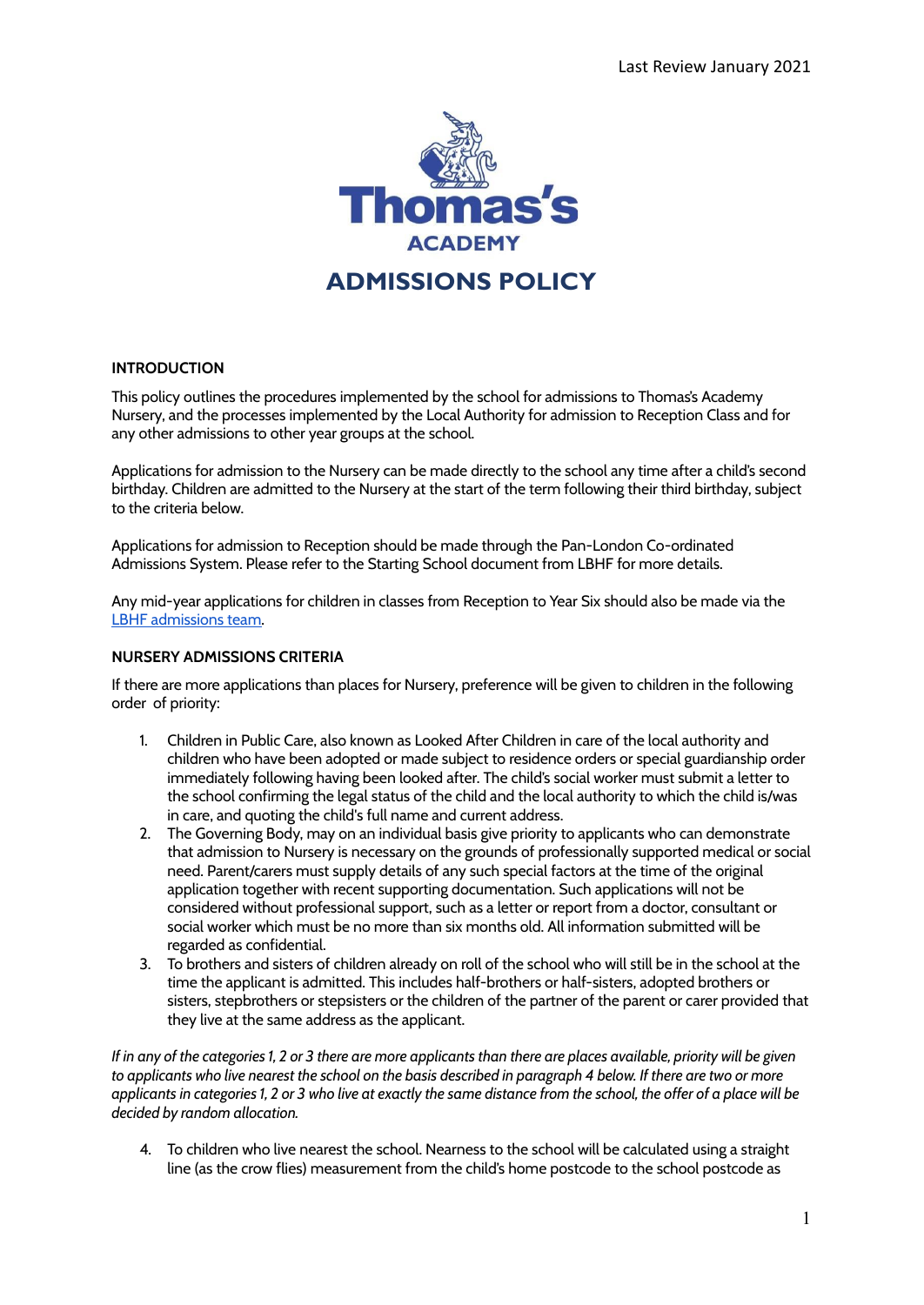

## **INTRODUCTION**

This policy outlines the procedures implemented by the school for admissions to Thomas's Academy Nursery, and the processes implemented by the Local Authority for admission to Reception Class and for any other admissions to other year groups at the school.

Applications for admission to the Nursery can be made directly to the school any time after a child's second birthday. Children are admitted to the Nursery at the start of the term following their third birthday, subject to the criteria below.

Applications for admission to Reception should be made through the Pan-London Co-ordinated Admissions System. Please refer to the Starting School document from LBHF for more details.

Any mid-year applications for children in classes from Reception to Year Six should also be made via the LBHF [admissions](https://www.lbhf.gov.uk/children-and-young-people/schools-and-colleges/school-admissions) team.

### **NURSERY ADMISSIONS CRITERIA**

If there are more applications than places for Nursery, preference will be given to children in the following order of priority:

- 1. Children in Public Care, also known as Looked After Children in care of the local authority and children who have been adopted or made subject to residence orders or special guardianship order immediately following having been looked after. The child's social worker must submit a letter to the school confirming the legal status of the child and the local authority to which the child is/was in care, and quoting the child's full name and current address.
- 2. The Governing Body, may on an individual basis give priority to applicants who can demonstrate that admission to Nursery is necessary on the grounds of professionally supported medical or social need. Parent/carers must supply details of any such special factors at the time of the original application together with recent supporting documentation. Such applications will not be considered without professional support, such as a letter or report from a doctor, consultant or social worker which must be no more than six months old. All information submitted will be regarded as confidential.
- 3. To brothers and sisters of children already on roll of the school who will still be in the school at the time the applicant is admitted. This includes half-brothers or half-sisters, adopted brothers or sisters, stepbrothers or stepsisters or the children of the partner of the parent or carer provided that they live at the same address as the applicant.

If in any of the categories 1, 2 or 3 there are more applicants than there are places available, priority will be given to applicants who live nearest the school on the basis described in paragraph 4 below. If there are two or more applicants in categories 1, 2 or 3 who live at exactly the same distance from the school, the offer of a place will be *decided by random allocation.*

4. To children who live nearest the school. Nearness to the school will be calculated using a straight line (as the crow flies) measurement from the child's home postcode to the school postcode as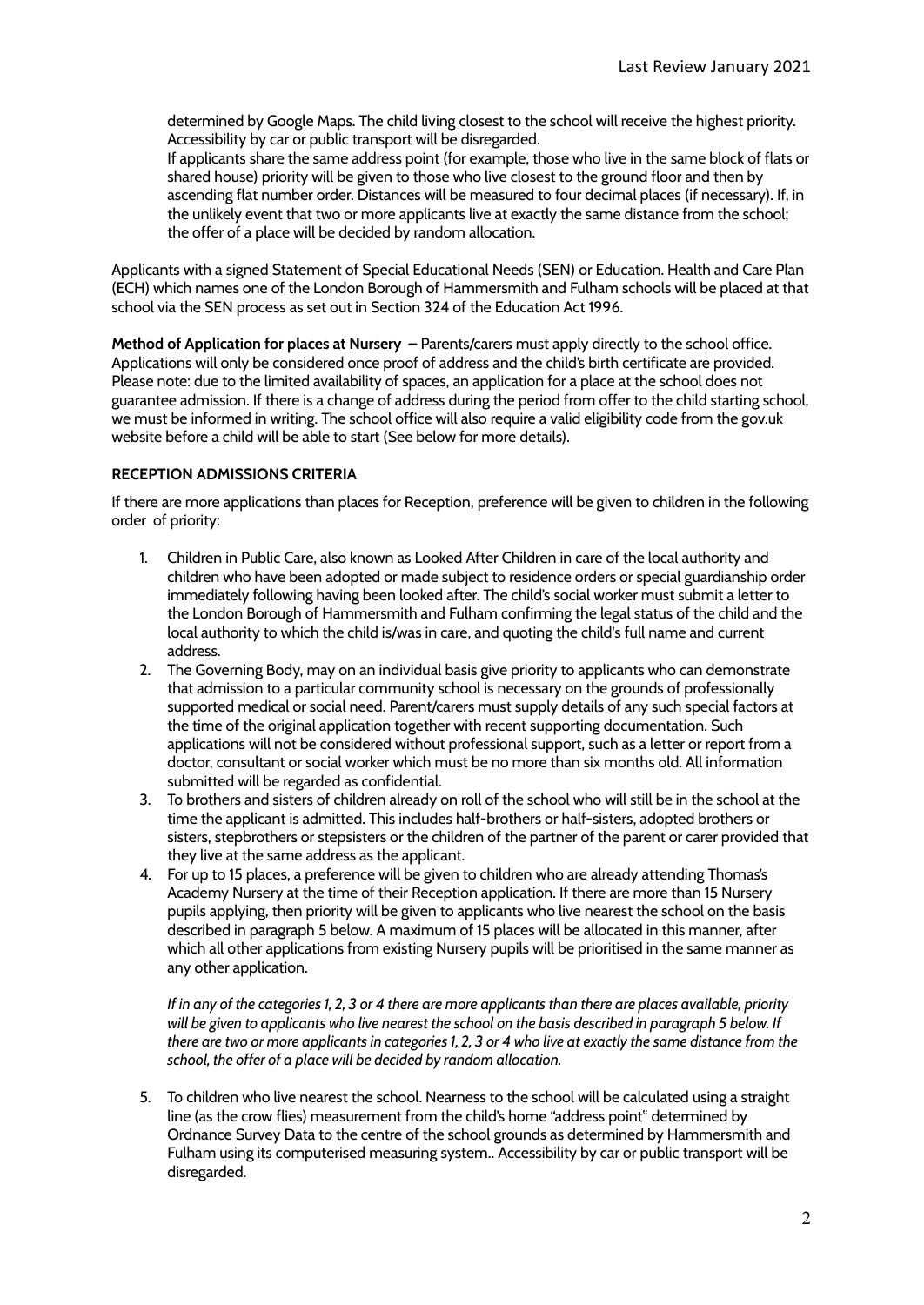determined by Google Maps. The child living closest to the school will receive the highest priority. Accessibility by car or public transport will be disregarded.

If applicants share the same address point (for example, those who live in the same block of flats or shared house) priority will be given to those who live closest to the ground floor and then by ascending flat number order. Distances will be measured to four decimal places (if necessary). If, in the unlikely event that two or more applicants live at exactly the same distance from the school; the offer of a place will be decided by random allocation.

Applicants with a signed Statement of Special Educational Needs (SEN) or Education. Health and Care Plan (ECH) which names one of the London Borough of Hammersmith and Fulham schools will be placed at that school via the SEN process as set out in Section 324 of the Education Act 1996.

**Method of Application for places at Nursery –** Parents/carers must apply directly to the school office. Applications will only be considered once proof of address and the child's birth certificate are provided. Please note: due to the limited availability of spaces, an application for a place at the school does not guarantee admission. If there is a change of address during the period from offer to the child starting school, we must be informed in writing. The school office will also require a valid eligibility code from the gov.uk website before a child will be able to start (See below for more details).

# **RECEPTION ADMISSIONS CRITERIA**

If there are more applications than places for Reception, preference will be given to children in the following order of priority:

- 1. Children in Public Care, also known as Looked After Children in care of the local authority and children who have been adopted or made subject to residence orders or special guardianship order immediately following having been looked after. The child's social worker must submit a letter to the London Borough of Hammersmith and Fulham confirming the legal status of the child and the local authority to which the child is/was in care, and quoting the child's full name and current address.
- 2. The Governing Body, may on an individual basis give priority to applicants who can demonstrate that admission to a particular community school is necessary on the grounds of professionally supported medical or social need. Parent/carers must supply details of any such special factors at the time of the original application together with recent supporting documentation. Such applications will not be considered without professional support, such as a letter or report from a doctor, consultant or social worker which must be no more than six months old. All information submitted will be regarded as confidential.
- 3. To brothers and sisters of children already on roll of the school who will still be in the school at the time the applicant is admitted. This includes half-brothers or half-sisters, adopted brothers or sisters, stepbrothers or stepsisters or the children of the partner of the parent or carer provided that they live at the same address as the applicant.
- 4. For up to 15 places, a preference will be given to children who are already attending Thomas's Academy Nursery at the time of their Reception application. If there are more than 15 Nursery pupils applying, then priority will be given to applicants who live nearest the school on the basis described in paragraph 5 below. A maximum of 15 places will be allocated in this manner, after which all other applications from existing Nursery pupils will be prioritised in the same manner as any other application.

If in any of the categories 1, 2, 3 or 4 there are more applicants than there are places available, priority will be given to applicants who live nearest the school on the basis described in paragraph 5 below. If there are two or more applicants in categories 1, 2, 3 or 4 who live at exactly the same distance from the *school, the offer of a place will be decided by random allocation.*

5. To children who live nearest the school. Nearness to the school will be calculated using a straight line (as the crow flies) measurement from the child's home "address point" determined by Ordnance Survey Data to the centre of the school grounds as determined by Hammersmith and Fulham using its computerised measuring system.. Accessibility by car or public transport will be disregarded.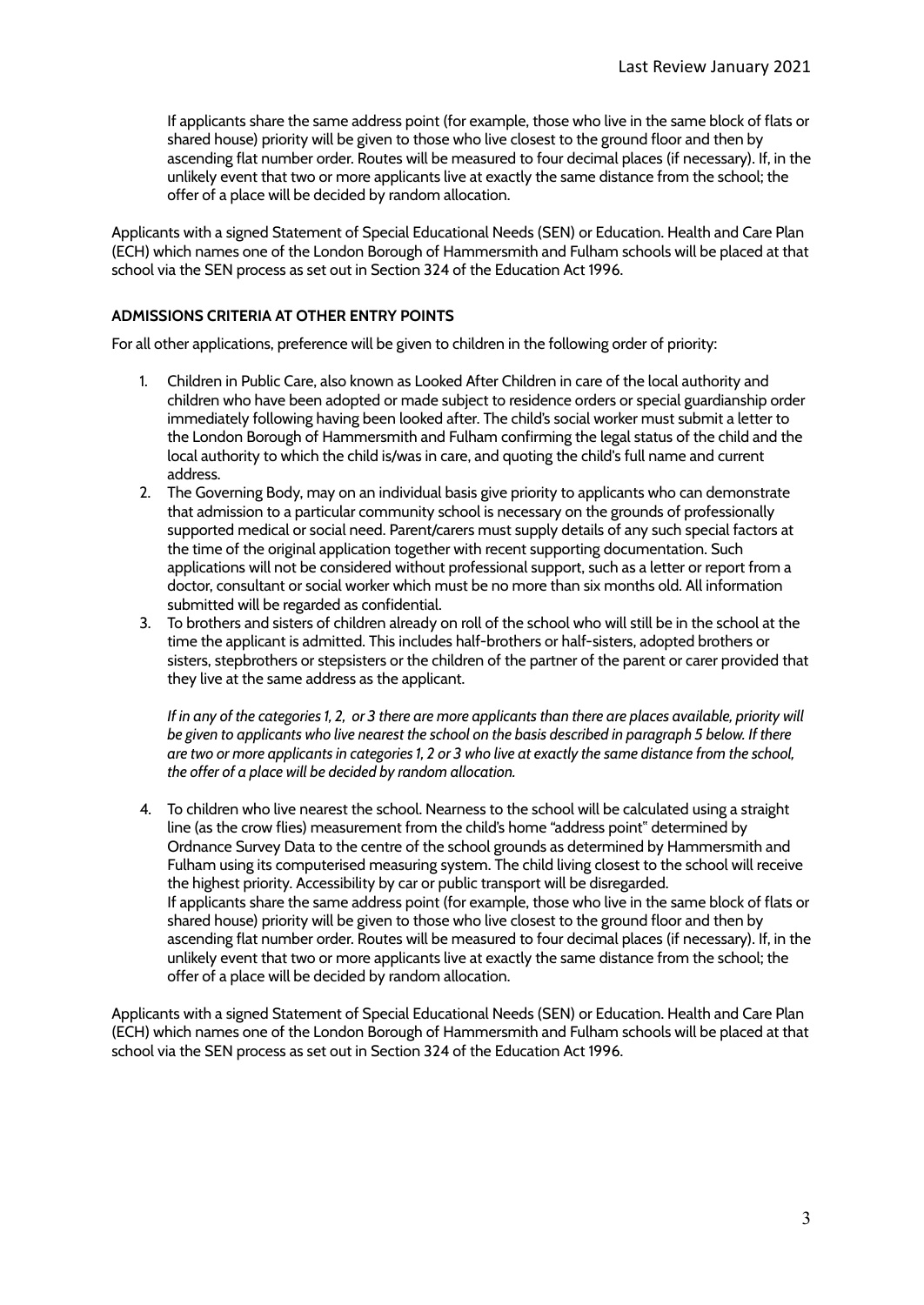If applicants share the same address point (for example, those who live in the same block of flats or shared house) priority will be given to those who live closest to the ground floor and then by ascending flat number order. Routes will be measured to four decimal places (if necessary). If, in the unlikely event that two or more applicants live at exactly the same distance from the school; the offer of a place will be decided by random allocation.

Applicants with a signed Statement of Special Educational Needs (SEN) or Education. Health and Care Plan (ECH) which names one of the London Borough of Hammersmith and Fulham schools will be placed at that school via the SEN process as set out in Section 324 of the Education Act 1996.

## **ADMISSIONS CRITERIA AT OTHER ENTRY POINTS**

For all other applications, preference will be given to children in the following order of priority:

- 1. Children in Public Care, also known as Looked After Children in care of the local authority and children who have been adopted or made subject to residence orders or special guardianship order immediately following having been looked after. The child's social worker must submit a letter to the London Borough of Hammersmith and Fulham confirming the legal status of the child and the local authority to which the child is/was in care, and quoting the child's full name and current address.
- 2. The Governing Body, may on an individual basis give priority to applicants who can demonstrate that admission to a particular community school is necessary on the grounds of professionally supported medical or social need. Parent/carers must supply details of any such special factors at the time of the original application together with recent supporting documentation. Such applications will not be considered without professional support, such as a letter or report from a doctor, consultant or social worker which must be no more than six months old. All information submitted will be regarded as confidential.
- 3. To brothers and sisters of children already on roll of the school who will still be in the school at the time the applicant is admitted. This includes half-brothers or half-sisters, adopted brothers or sisters, stepbrothers or stepsisters or the children of the partner of the parent or carer provided that they live at the same address as the applicant.

If in any of the categories 1, 2, or 3 there are more applicants than there are places available, priority will be given to applicants who live nearest the school on the basis described in paragraph 5 below. If there are two or more applicants in categories 1, 2 or 3 who live at exactly the same distance from the school, *the offer of a place will be decided by random allocation.*

4. To children who live nearest the school. Nearness to the school will be calculated using a straight line (as the crow flies) measurement from the child's home "address point" determined by Ordnance Survey Data to the centre of the school grounds as determined by Hammersmith and Fulham using its computerised measuring system. The child living closest to the school will receive the highest priority. Accessibility by car or public transport will be disregarded. If applicants share the same address point (for example, those who live in the same block of flats or shared house) priority will be given to those who live closest to the ground floor and then by ascending flat number order. Routes will be measured to four decimal places (if necessary). If, in the unlikely event that two or more applicants live at exactly the same distance from the school; the offer of a place will be decided by random allocation.

Applicants with a signed Statement of Special Educational Needs (SEN) or Education. Health and Care Plan (ECH) which names one of the London Borough of Hammersmith and Fulham schools will be placed at that school via the SEN process as set out in Section 324 of the Education Act 1996.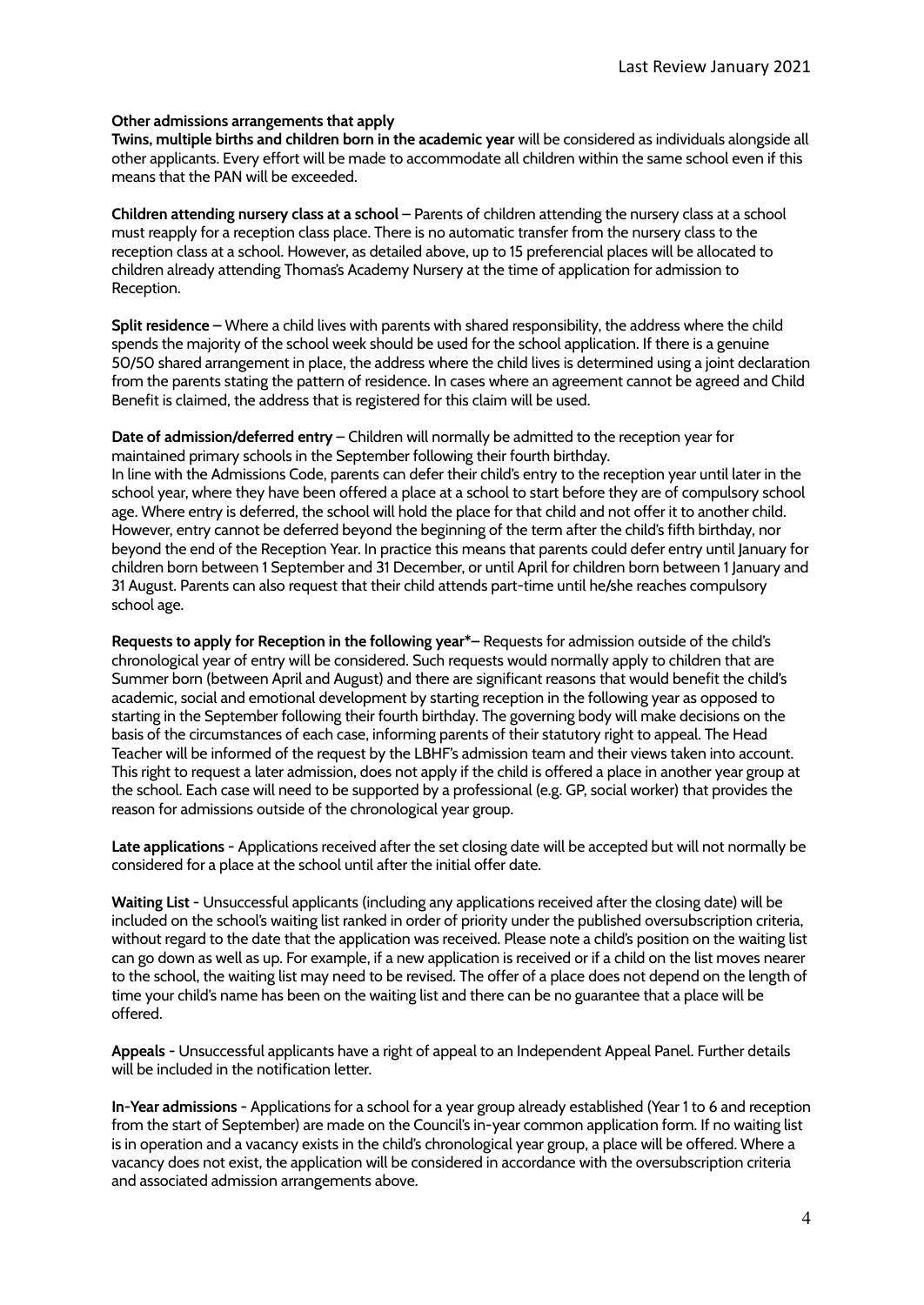#### **Other admissions arrangements that apply**

**Twins, multiple births and children born in the academic year** will be considered as individuals alongside all other applicants. Every effort will be made to accommodate all children within the same school even if this means that the PAN will be exceeded.

**Children attending nursery class at a school** – Parents of children attending the nursery class at a school must reapply for a reception class place. There is no automatic transfer from the nursery class to the reception class at a school. However, as detailed above, up to 15 preferencial places will be allocated to children already attending Thomas's Academy Nursery at the time of application for admission to Reception.

**Split residence –** Where a child lives with parents with shared responsibility, the address where the child spends the majority of the school week should be used for the school application. If there is a genuine 50/50 shared arrangement in place, the address where the child lives is determined using a joint declaration from the parents stating the pattern of residence. In cases where an agreement cannot be agreed and Child Benefit is claimed, the address that is registered for this claim will be used.

**Date of admission/deferred entry** – Children will normally be admitted to the reception year for maintained primary schools in the September following their fourth birthday.

In line with the Admissions Code, parents can defer their child's entry to the reception year until later in the school year, where they have been offered a place at a school to start before they are of compulsory school age. Where entry is deferred, the school will hold the place for that child and not offer it to another child. However, entry cannot be deferred beyond the beginning of the term after the child's fifth birthday, nor beyond the end of the Reception Year. In practice this means that parents could defer entry until January for children born between 1 September and 31 December, or until April for children born between 1 January and 31 August. Parents can also request that their child attends part-time until he/she reaches compulsory school age.

**Requests to apply for Reception in the following year\*–** Requests for admission outside of the child's chronological year of entry will be considered. Such requests would normally apply to children that are Summer born (between April and August) and there are significant reasons that would benefit the child's academic, social and emotional development by starting reception in the following year as opposed to starting in the September following their fourth birthday. The governing body will make decisions on the basis of the circumstances of each case, informing parents of their statutory right to appeal. The Head Teacher will be informed of the request by the LBHF's admission team and their views taken into account. This right to request a later admission, does not apply if the child is offered a place in another year group at the school. Each case will need to be supported by a professional (e.g. GP, social worker) that provides the reason for admissions outside of the chronological year group.

**Late applications -** Applications received after the set closing date will be accepted but will not normally be considered for a place at the school until after the initial offer date.

**Waiting List -** Unsuccessful applicants (including any applications received after the closing date) will be included on the school's waiting list ranked in order of priority under the published oversubscription criteria, without regard to the date that the application was received. Please note a child's position on the waiting list can go down as well as up. For example, if a new application is received or if a child on the list moves nearer to the school, the waiting list may need to be revised. The offer of a place does not depend on the length of time your child's name has been on the waiting list and there can be no guarantee that a place will be offered.

**Appeals -** Unsuccessful applicants have a right of appeal to an Independent Appeal Panel. Further details will be included in the notification letter.

**In-Year admissions -** Applications for a school for a year group already established (Year 1 to 6 and reception from the start of September) are made on the Council's in-year common application form. If no waiting list is in operation and a vacancy exists in the child's chronological year group, a place will be offered. Where a vacancy does not exist, the application will be considered in accordance with the oversubscription criteria and associated admission arrangements above.